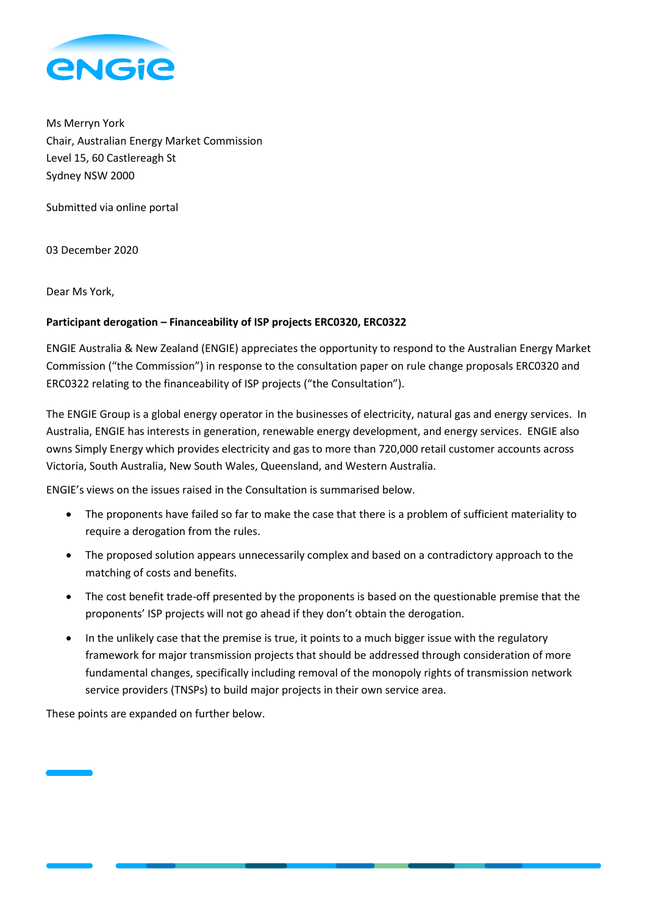

Ms Merryn York Chair, Australian Energy Market Commission Level 15, 60 Castlereagh St Sydney NSW 2000

Submitted via online portal

03 December 2020

Dear Ms York,

# **Participant derogation – Financeability of ISP projects ERC0320, ERC0322**

ENGIE Australia & New Zealand (ENGIE) appreciates the opportunity to respond to the Australian Energy Market Commission ("the Commission") in response to the consultation paper on rule change proposals ERC0320 and ERC0322 relating to the financeability of ISP projects ("the Consultation").

The ENGIE Group is a global energy operator in the businesses of electricity, natural gas and energy services. In Australia, ENGIE has interests in generation, renewable energy development, and energy services. ENGIE also owns Simply Energy which provides electricity and gas to more than 720,000 retail customer accounts across Victoria, South Australia, New South Wales, Queensland, and Western Australia.

ENGIE's views on the issues raised in the Consultation is summarised below.

- The proponents have failed so far to make the case that there is a problem of sufficient materiality to require a derogation from the rules.
- The proposed solution appears unnecessarily complex and based on a contradictory approach to the matching of costs and benefits.
- The cost benefit trade-off presented by the proponents is based on the questionable premise that the proponents' ISP projects will not go ahead if they don't obtain the derogation.
- In the unlikely case that the premise is true, it points to a much bigger issue with the regulatory framework for major transmission projects that should be addressed through consideration of more fundamental changes, specifically including removal of the monopoly rights of transmission network service providers (TNSPs) to build major projects in their own service area.

These points are expanded on further below.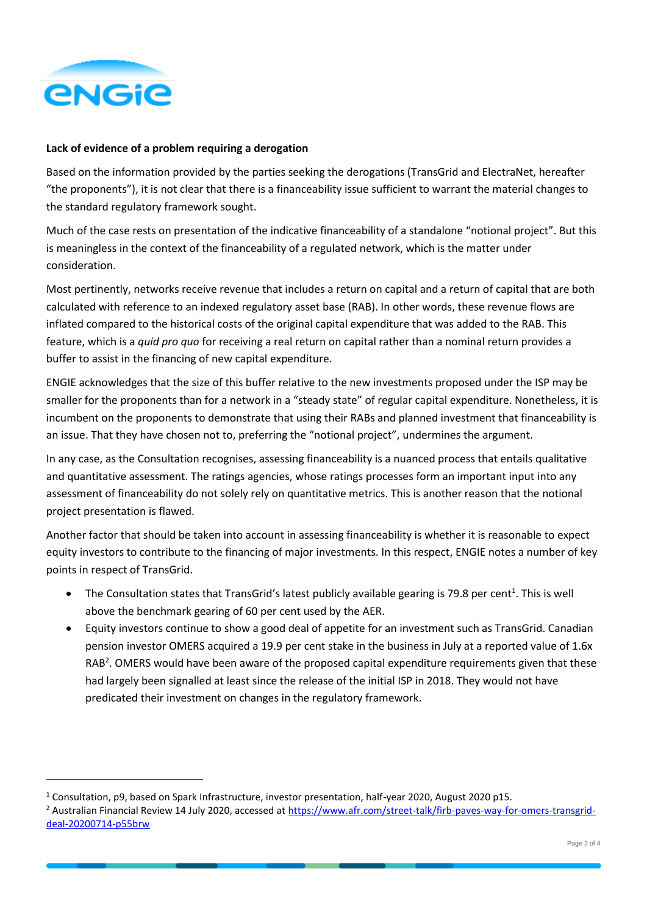

## **Lack of evidence of a problem requiring a derogation**

Based on the information provided by the parties seeking the derogations (TransGrid and ElectraNet, hereafter "the proponents"), it is not clear that there is a financeability issue sufficient to warrant the material changes to the standard regulatory framework sought.

Much of the case rests on presentation of the indicative financeability of a standalone "notional project". But this is meaningless in the context of the financeability of a regulated network, which is the matter under consideration.

Most pertinently, networks receive revenue that includes a return on capital and a return of capital that are both calculated with reference to an indexed regulatory asset base (RAB). In other words, these revenue flows are inflated compared to the historical costs of the original capital expenditure that was added to the RAB. This feature, which is a *quid pro quo* for receiving a real return on capital rather than a nominal return provides a buffer to assist in the financing of new capital expenditure.

ENGIE acknowledges that the size of this buffer relative to the new investments proposed under the ISP may be smaller for the proponents than for a network in a "steady state" of regular capital expenditure. Nonetheless, it is incumbent on the proponents to demonstrate that using their RABs and planned investment that financeability is an issue. That they have chosen not to, preferring the "notional project", undermines the argument.

In any case, as the Consultation recognises, assessing financeability is a nuanced process that entails qualitative and quantitative assessment. The ratings agencies, whose ratings processes form an important input into any assessment of financeability do not solely rely on quantitative metrics. This is another reason that the notional project presentation is flawed.

Another factor that should be taken into account in assessing financeability is whether it is reasonable to expect equity investors to contribute to the financing of major investments. In this respect, ENGIE notes a number of key points in respect of TransGrid.

- The Consultation states that TransGrid's latest publicly available gearing is 79.8 per cent<sup>1</sup>. This is well above the benchmark gearing of 60 per cent used by the AER.
- Equity investors continue to show a good deal of appetite for an investment such as TransGrid. Canadian pension investor OMERS acquired a 19.9 per cent stake in the business in July at a reported value of 1.6x RAB<sup>2</sup>. OMERS would have been aware of the proposed capital expenditure requirements given that these had largely been signalled at least since the release of the initial ISP in 2018. They would not have predicated their investment on changes in the regulatory framework.

<sup>1</sup> Consultation, p9, based on Spark Infrastructure, investor presentation, half-year 2020, August 2020 p15.

<sup>2</sup> Australian Financial Review 14 July 2020, accessed at [https://www.afr.com/street-talk/firb-paves-way-for-omers-transgrid](https://www.afr.com/street-talk/firb-paves-way-for-omers-transgrid-deal-20200714-p55brw)[deal-20200714-p55brw](https://www.afr.com/street-talk/firb-paves-way-for-omers-transgrid-deal-20200714-p55brw)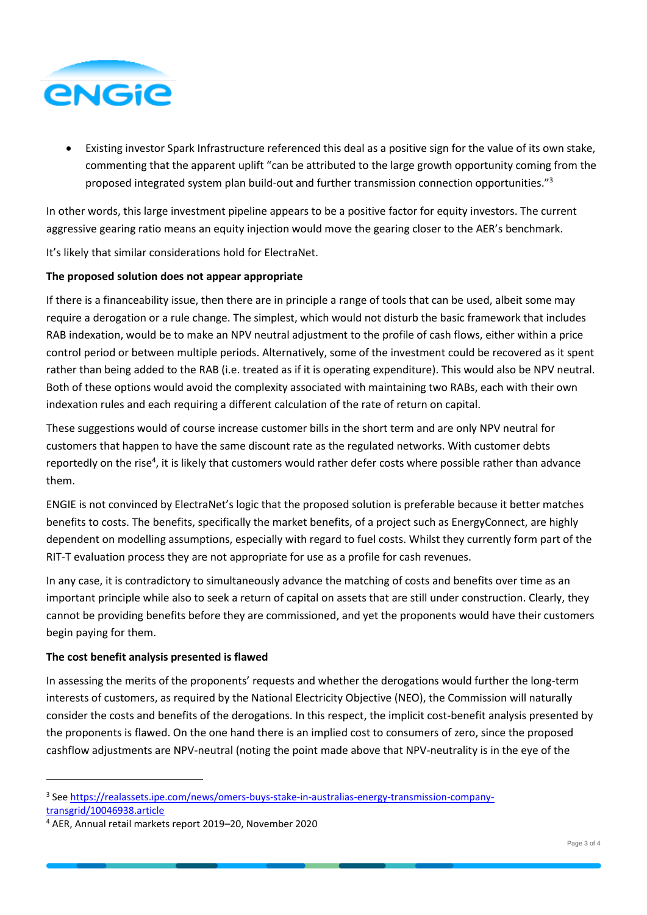

• Existing investor Spark Infrastructure referenced this deal as a positive sign for the value of its own stake, commenting that the apparent uplift "can be attributed to the large growth opportunity coming from the proposed integrated system plan build-out and further transmission connection opportunities."<sup>3</sup>

In other words, this large investment pipeline appears to be a positive factor for equity investors. The current aggressive gearing ratio means an equity injection would move the gearing closer to the AER's benchmark.

It's likely that similar considerations hold for ElectraNet.

## **The proposed solution does not appear appropriate**

If there is a financeability issue, then there are in principle a range of tools that can be used, albeit some may require a derogation or a rule change. The simplest, which would not disturb the basic framework that includes RAB indexation, would be to make an NPV neutral adjustment to the profile of cash flows, either within a price control period or between multiple periods. Alternatively, some of the investment could be recovered as it spent rather than being added to the RAB (i.e. treated as if it is operating expenditure). This would also be NPV neutral. Both of these options would avoid the complexity associated with maintaining two RABs, each with their own indexation rules and each requiring a different calculation of the rate of return on capital.

These suggestions would of course increase customer bills in the short term and are only NPV neutral for customers that happen to have the same discount rate as the regulated networks. With customer debts reportedly on the rise<sup>4</sup>, it is likely that customers would rather defer costs where possible rather than advance them.

ENGIE is not convinced by ElectraNet's logic that the proposed solution is preferable because it better matches benefits to costs. The benefits, specifically the market benefits, of a project such as EnergyConnect, are highly dependent on modelling assumptions, especially with regard to fuel costs. Whilst they currently form part of the RIT-T evaluation process they are not appropriate for use as a profile for cash revenues.

In any case, it is contradictory to simultaneously advance the matching of costs and benefits over time as an important principle while also to seek a return of capital on assets that are still under construction. Clearly, they cannot be providing benefits before they are commissioned, and yet the proponents would have their customers begin paying for them.

# **The cost benefit analysis presented is flawed**

In assessing the merits of the proponents' requests and whether the derogations would further the long-term interests of customers, as required by the National Electricity Objective (NEO), the Commission will naturally consider the costs and benefits of the derogations. In this respect, the implicit cost-benefit analysis presented by the proponents is flawed. On the one hand there is an implied cost to consumers of zero, since the proposed cashflow adjustments are NPV-neutral (noting the point made above that NPV-neutrality is in the eye of the

<sup>&</sup>lt;sup>3</sup> See [https://realassets.ipe.com/news/omers-buys-stake-in-australias-energy-transmission-company](https://realassets.ipe.com/news/omers-buys-stake-in-australias-energy-transmission-company-transgrid/10046938.article)[transgrid/10046938.article](https://realassets.ipe.com/news/omers-buys-stake-in-australias-energy-transmission-company-transgrid/10046938.article)

<sup>4</sup> AER, Annual retail markets report 2019–20, November 2020